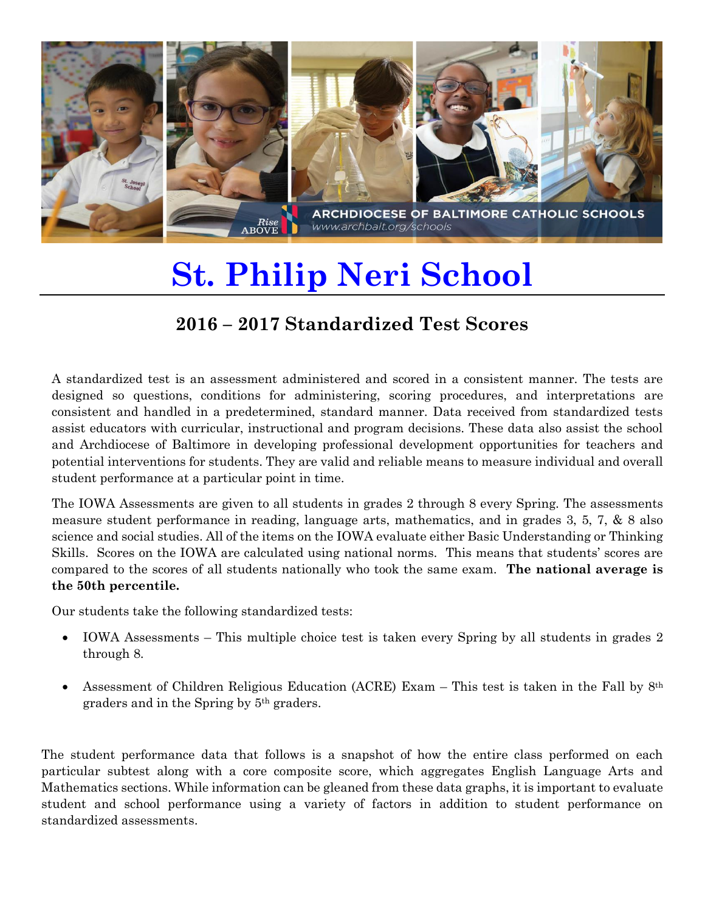

## **St. Philip Neri School**

## **2016 – 2017 Standardized Test Scores**

A standardized test is an assessment administered and scored in a consistent manner. The tests are designed so questions, conditions for administering, scoring procedures, and interpretations are consistent and handled in a predetermined, standard manner. Data received from standardized tests assist educators with curricular, instructional and program decisions. These data also assist the school and Archdiocese of Baltimore in developing professional development opportunities for teachers and potential interventions for students. They are valid and reliable means to measure individual and overall student performance at a particular point in time.

The IOWA Assessments are given to all students in grades 2 through 8 every Spring. The assessments measure student performance in reading, language arts, mathematics, and in grades 3, 5, 7, & 8 also science and social studies. All of the items on the IOWA evaluate either Basic Understanding or Thinking Skills. Scores on the IOWA are calculated using national norms. This means that students' scores are compared to the scores of all students nationally who took the same exam. **The national average is the 50th percentile.**

Our students take the following standardized tests:

- IOWA Assessments This multiple choice test is taken every Spring by all students in grades 2 through 8.
- Assessment of Children Religious Education (ACRE) Exam This test is taken in the Fall by  $8<sup>th</sup>$ graders and in the Spring by 5th graders.

The student performance data that follows is a snapshot of how the entire class performed on each particular subtest along with a core composite score, which aggregates English Language Arts and Mathematics sections. While information can be gleaned from these data graphs, it is important to evaluate student and school performance using a variety of factors in addition to student performance on standardized assessments.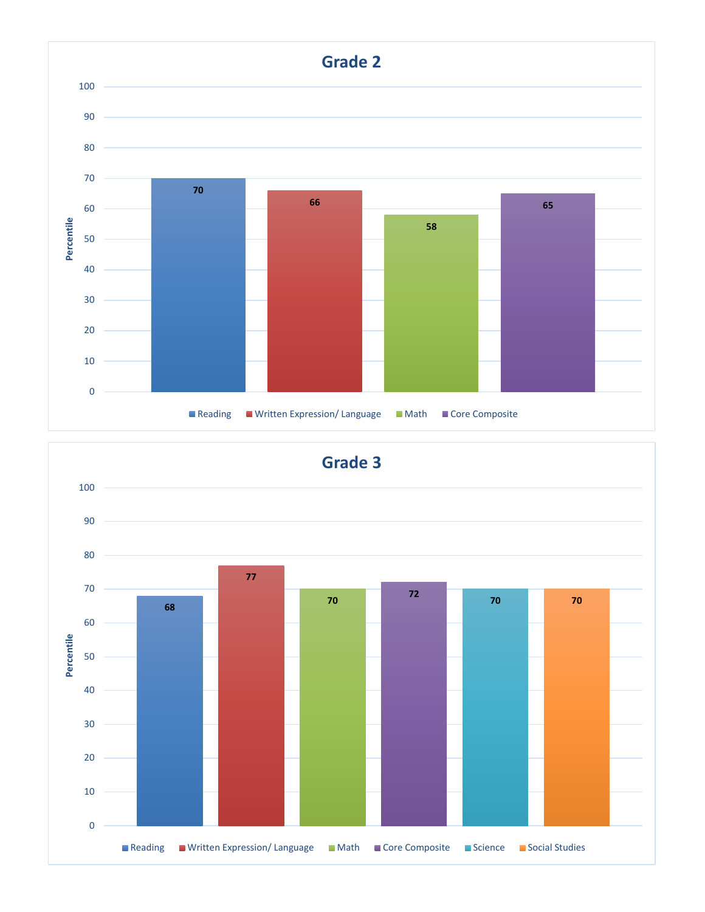

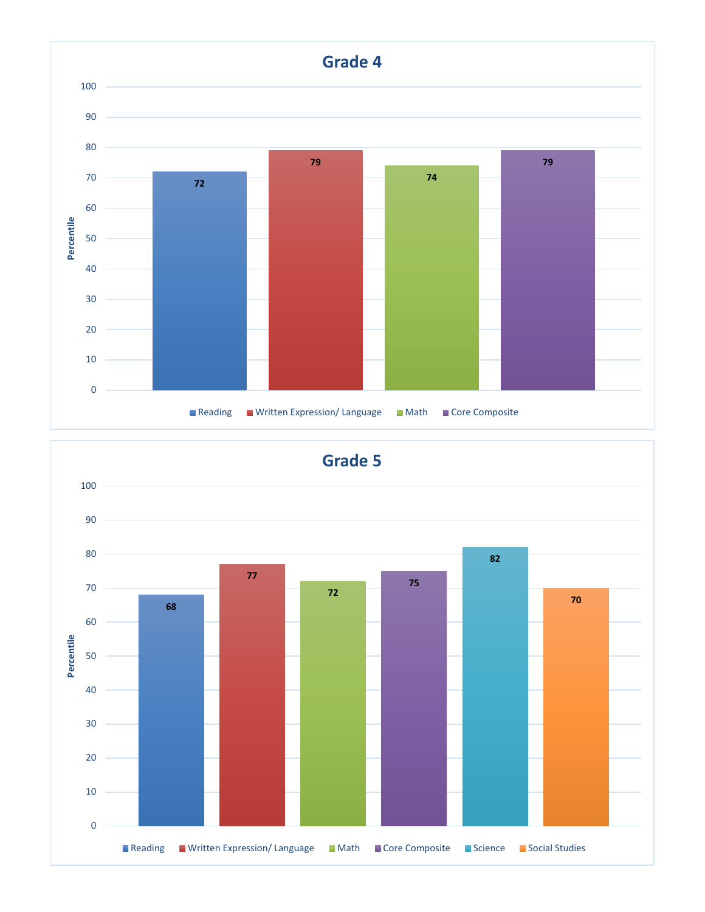

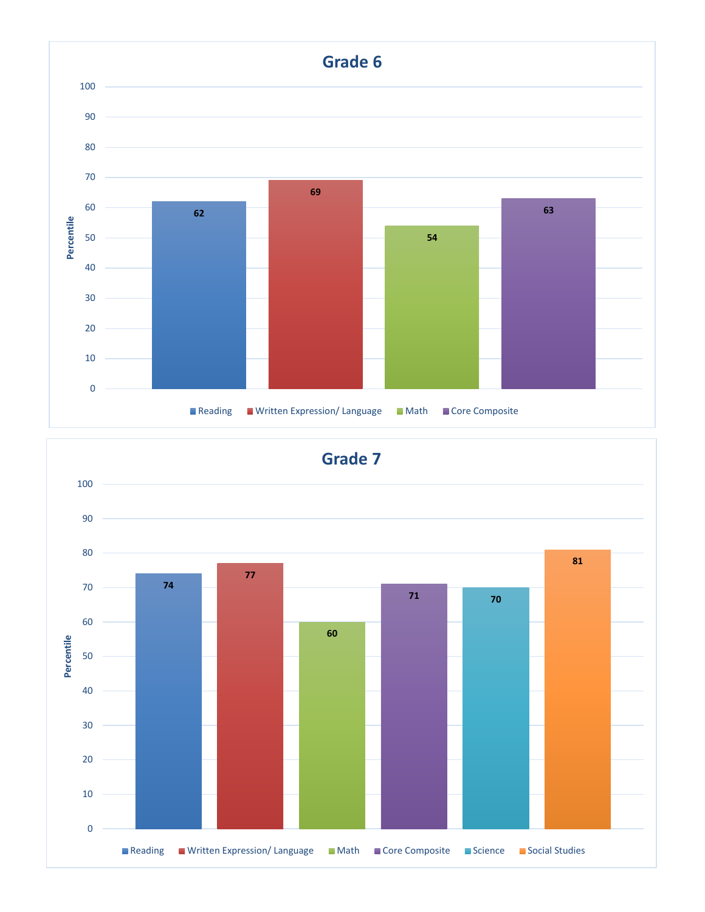

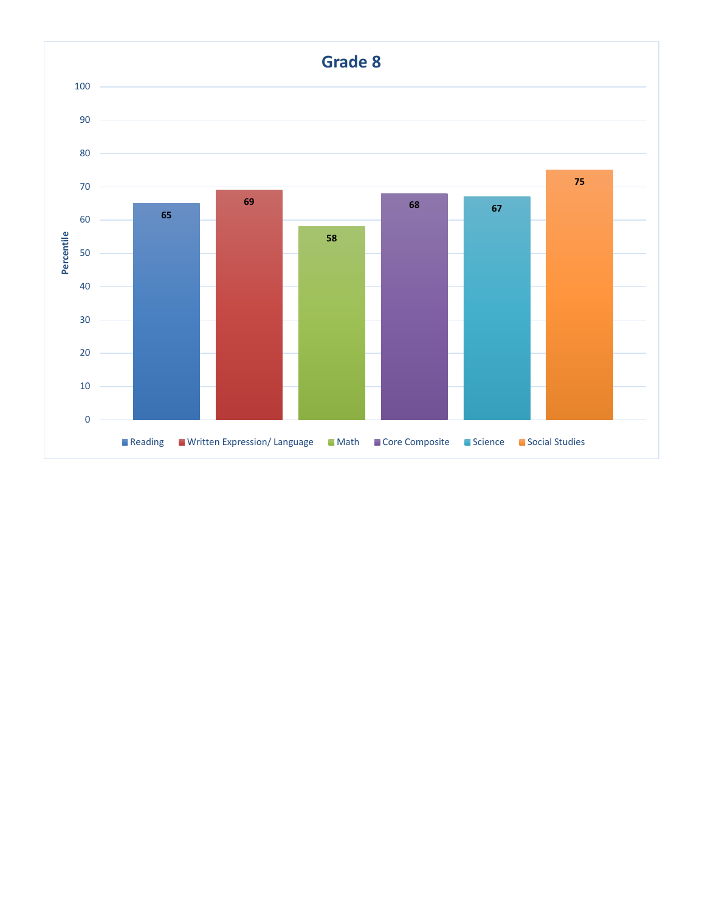